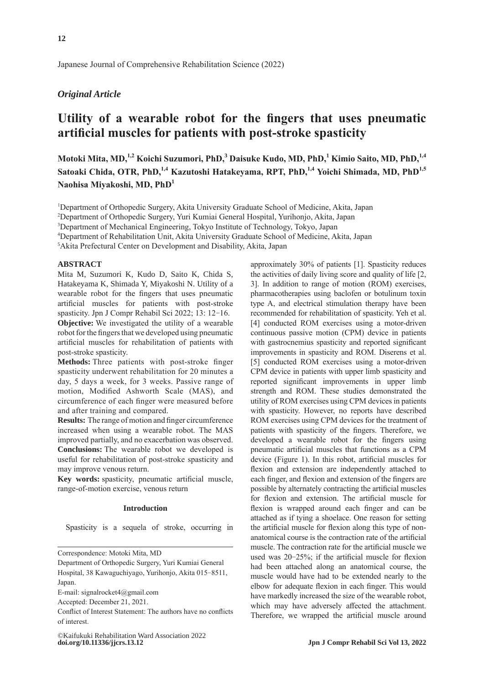Japanese Journal of Comprehensive Rehabilitation Science (2022)

# *Original Article*

# **Utility of a wearable robot for the fingers that uses pneumatic artificial muscles for patients with post-stroke spasticity**

**Motoki Mita, MD,1,2 Koichi Suzumori, PhD,<sup>3</sup> Daisuke Kudo, MD, PhD,<sup>1</sup> Kimio Saito, MD, PhD,1,4** Satoaki Chida, OTR, PhD,<sup>1,4</sup> Kazutoshi Hatakeyama, RPT, PhD,<sup>1,4</sup> Yoichi Shimada, MD, PhD<sup>1,5</sup> **Naohisa Miyakoshi, MD, PhD<sup>1</sup>**

<sup>1</sup>Department of Orthopedic Surgery, Akita University Graduate School of Medicine, Akita, Japan

2 Department of Orthopedic Surgery, Yuri Kumiai General Hospital, Yurihonjo, Akita, Japan

3 Department of Mechanical Engineering, Tokyo Institute of Technology, Tokyo, Japan

4 Department of Rehabilitation Unit, Akita University Graduate School of Medicine, Akita, Japan

5 Akita Prefectural Center on Development and Disability, Akita, Japan

## **ABSTRACT**

Mita M, Suzumori K, Kudo D, Saito K, Chida S, Hatakeyama K, Shimada Y, Miyakoshi N. Utility of a wearable robot for the fingers that uses pneumatic artificial muscles for patients with post-stroke spasticity. Jpn J Compr Rehabil Sci 2022; 13: 12-16.

**Objective:** We investigated the utility of a wearable robot for the fingers that we developed using pneumatic artificial muscles for rehabilitation of patients with post-stroke spasticity.

**Methods:** Three patients with post-stroke finger spasticity underwent rehabilitation for 20 minutes a day, 5 days a week, for 3 weeks. Passive range of motion, Modified Ashworth Scale (MAS), and circumference of each finger were measured before and after training and compared.

**Results:** The range of motion and finger circumference increased when using a wearable robot. The MAS improved partially, and no exacerbation was observed. **Conclusions:** The wearable robot we developed is useful for rehabilitation of post-stroke spasticity and may improve venous return.

**Key words:** spasticity, pneumatic artificial muscle, range-of-motion exercise, venous return

#### **Introduction**

Spasticity is a sequela of stroke, occurring in

Correspondence: Motoki Mita, MD

E-mail: signalrocket4@gmail.com

Accepted: December 21, 2021.

Conflict of Interest Statement: The authors have no conflicts of interest.

approximately 30% of patients [1]. Spasticity reduces the activities of daily living score and quality of life [2, 3]. In addition to range of motion (ROM) exercises, pharmacotherapies using baclofen or botulinum toxin type A, and electrical stimulation therapy have been recommended for rehabilitation of spasticity. Yeh et al. [4] conducted ROM exercises using a motor-driven continuous passive motion (CPM) device in patients with gastrocnemius spasticity and reported significant improvements in spasticity and ROM. Diserens et al. [5] conducted ROM exercises using a motor-driven CPM device in patients with upper limb spasticity and reported significant improvements in upper limb strength and ROM. These studies demonstrated the utility of ROM exercises using CPM devices in patients with spasticity. However, no reports have described ROM exercises using CPM devices for the treatment of patients with spasticity of the fingers. Therefore, we developed a wearable robot for the fingers using pneumatic artificial muscles that functions as a CPM device (Figure 1). In this robot, artificial muscles for flexion and extension are independently attached to each finger, and flexion and extension of the fingers are possible by alternately contracting the artificial muscles for flexion and extension. The artificial muscle for flexion is wrapped around each finger and can be attached as if tying a shoelace. One reason for setting the artificial muscle for flexion along this type of nonanatomical course is the contraction rate of the artificial muscle. The contraction rate for the artificial muscle we used was 20–25%; if the artificial muscle for flexion had been attached along an anatomical course, the muscle would have had to be extended nearly to the elbow for adequate flexion in each finger. This would have markedly increased the size of the wearable robot, which may have adversely affected the attachment. Therefore, we wrapped the artificial muscle around

Department of Orthopedic Surgery, Yuri Kumiai General Hospital, 38 Kawaguchiyago, Yurihonjo, Akita 015-8511, Japan.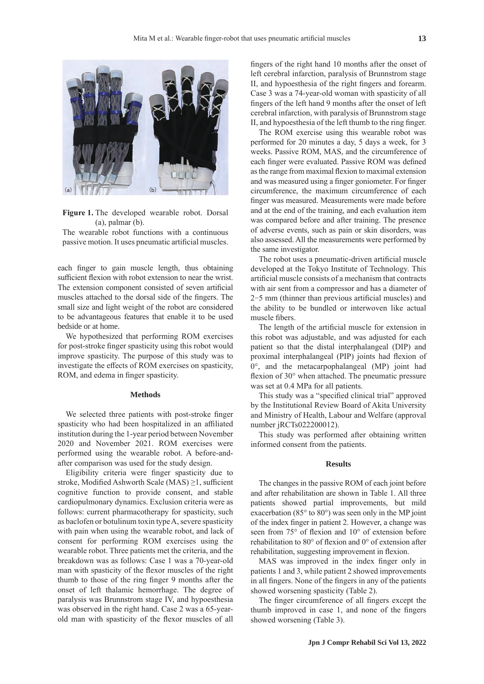

**Figure 1.** The developed wearable robot. Dorsal (a), palmar (b).

The wearable robot functions with a continuous passive motion. It uses pneumatic artificial muscles.

each finger to gain muscle length, thus obtaining sufficient flexion with robot extension to near the wrist. The extension component consisted of seven artificial muscles attached to the dorsal side of the fingers. The small size and light weight of the robot are considered to be advantageous features that enable it to be used bedside or at home.

We hypothesized that performing ROM exercises for post-stroke finger spasticity using this robot would improve spasticity. The purpose of this study was to investigate the effects of ROM exercises on spasticity, ROM, and edema in finger spasticity.

#### **Methods**

We selected three patients with post-stroke finger spasticity who had been hospitalized in an affiliated institution during the 1-year period between November 2020 and November 2021. ROM exercises were performed using the wearable robot. A before-andafter comparison was used for the study design.

Eligibility criteria were finger spasticity due to stroke, Modified Ashworth Scale (MAS) ≥1, sufficient cognitive function to provide consent, and stable cardiopulmonary dynamics. Exclusion criteria were as follows: current pharmacotherapy for spasticity, such as baclofen or botulinum toxin type A, severe spasticity with pain when using the wearable robot, and lack of consent for performing ROM exercises using the wearable robot. Three patients met the criteria, and the breakdown was as follows: Case 1 was a 70-year-old man with spasticity of the flexor muscles of the right thumb to those of the ring finger 9 months after the onset of left thalamic hemorrhage. The degree of paralysis was Brunnstrom stage IV, and hypoesthesia was observed in the right hand. Case 2 was a 65-yearold man with spasticity of the flexor muscles of all fingers of the right hand 10 months after the onset of left cerebral infarction, paralysis of Brunnstrom stage II, and hypoesthesia of the right fingers and forearm. Case 3 was a 74-year-old woman with spasticity of all fingers of the left hand 9 months after the onset of left cerebral infarction, with paralysis of Brunnstrom stage II, and hypoesthesia of the left thumb to the ring finger.

The ROM exercise using this wearable robot was performed for 20 minutes a day, 5 days a week, for 3 weeks. Passive ROM, MAS, and the circumference of each finger were evaluated. Passive ROM was defined as the range from maximal flexion to maximal extension and was measured using a finger goniometer. For finger circumference, the maximum circumference of each finger was measured. Measurements were made before and at the end of the training, and each evaluation item was compared before and after training. The presence of adverse events, such as pain or skin disorders, was also assessed. All the measurements were performed by the same investigator.

The robot uses a pneumatic-driven artificial muscle developed at the Tokyo Institute of Technology. This artificial muscle consists of a mechanism that contracts with air sent from a compressor and has a diameter of 2‒5 mm (thinner than previous artificial muscles) and the ability to be bundled or interwoven like actual muscle fibers.

The length of the artificial muscle for extension in this robot was adjustable, and was adjusted for each patient so that the distal interphalangeal (DIP) and proximal interphalangeal (PIP) joints had flexion of 0°, and the metacarpophalangeal (MP) joint had flexion of 30° when attached. The pneumatic pressure was set at 0.4 MPa for all patients.

This study was a "specified clinical trial" approved by the Institutional Review Board of Akita University and Ministry of Health, Labour and Welfare (approval number jRCTs022200012).

This study was performed after obtaining written informed consent from the patients.

#### **Results**

The changes in the passive ROM of each joint before and after rehabilitation are shown in Table 1. All three patients showed partial improvements, but mild exacerbation (85° to 80°) was seen only in the MP joint of the index finger in patient 2. However, a change was seen from 75° of flexion and 10° of extension before rehabilitation to 80° of flexion and 0° of extension after rehabilitation, suggesting improvement in flexion.

MAS was improved in the index finger only in patients 1 and 3, while patient 2 showed improvements in all fingers. None of the fingers in any of the patients showed worsening spasticity (Table 2).

The finger circumference of all fingers except the thumb improved in case 1, and none of the fingers showed worsening (Table 3).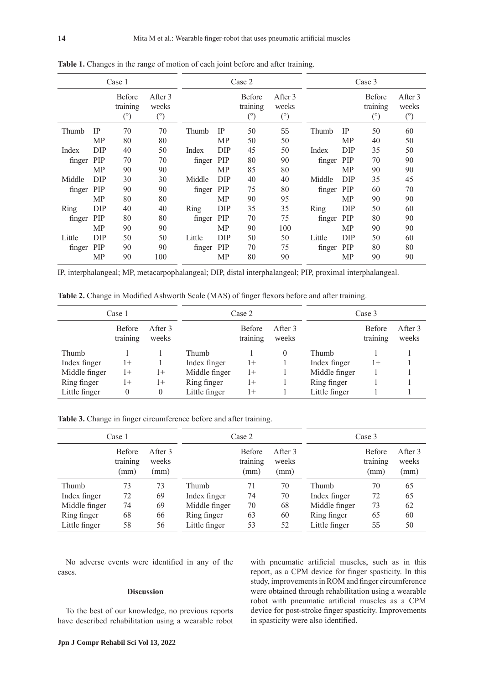| Case 1 |            |                                  |                         | Case 2 |            |                                         |                                | Case 3 |            |                                         |                                |
|--------|------------|----------------------------------|-------------------------|--------|------------|-----------------------------------------|--------------------------------|--------|------------|-----------------------------------------|--------------------------------|
|        |            | Before<br>training<br>$(^\circ)$ | After 3<br>weeks<br>(°) |        |            | <b>Before</b><br>training<br>$(^\circ)$ | After 3<br>weeks<br>$(^\circ)$ |        |            | <b>Before</b><br>training<br>$(^\circ)$ | After 3<br>weeks<br>$(^\circ)$ |
| Thumb  | <b>IP</b>  | 70                               | 70                      | Thumb  | <b>IP</b>  | 50                                      | 55                             | Thumb  | <b>IP</b>  | 50                                      | 60                             |
|        | <b>MP</b>  | 80                               | 80                      |        | MP         | 50                                      | 50                             |        | MP         | 40                                      | 50                             |
| Index  | DIP        | 40                               | 50                      | Index  | <b>DIP</b> | 45                                      | 50                             | Index  | DIP        | 35                                      | 50                             |
| finger | PIP        | 70                               | 70                      | finger | PIP        | 80                                      | 90                             | finger | PIP        | 70                                      | 90                             |
|        | <b>MP</b>  | 90                               | 90                      |        | <b>MP</b>  | 85                                      | 80                             |        | MP         | 90                                      | 90                             |
| Middle | <b>DIP</b> | 30                               | 30                      | Middle | <b>DIP</b> | 40                                      | 40                             | Middle | <b>DIP</b> | 35                                      | 45                             |
| finger | PIP        | 90                               | 90                      | finger | <b>PIP</b> | 75                                      | 80                             | finger | <b>PIP</b> | 60                                      | 70                             |
|        | <b>MP</b>  | 80                               | 80                      |        | MP         | 90                                      | 95                             |        | MP         | 90                                      | 90                             |
| Ring   | DIP        | 40                               | 40                      | Ring   | DIP        | 35                                      | 35                             | Ring   | DIP        | 50                                      | 60                             |
| finger | PIP        | 80                               | 80                      | finger | <b>PIP</b> | 70                                      | 75                             | finger | <b>PIP</b> | 80                                      | 90                             |
|        | MP         | 90                               | 90                      |        | MP         | 90                                      | 100                            |        | MP         | 90                                      | 90                             |
| Little | DIP        | 50                               | 50                      | Little | <b>DIP</b> | 50                                      | 50                             | Little | DIP        | 50                                      | 60                             |
| finger | <b>PIP</b> | 90                               | 90                      | finger | <b>PIP</b> | 70                                      | 75                             | finger | PIP        | 80                                      | 80                             |
|        | MP         | 90                               | 100                     |        | MP         | 80                                      | 90                             |        | MP         | 90                                      | 90                             |

**Table 1.** Changes in the range of motion of each joint before and after training.

IP, interphalangeal; MP, metacarpophalangeal; DIP, distal interphalangeal; PIP, proximal interphalangeal.

**Table 2.** Change in Modified Ashworth Scale (MAS) of finger flexors before and after training.

|               | Case 1                    |                  | Case 2        |                           |                  | Case 3        |                           |                  |
|---------------|---------------------------|------------------|---------------|---------------------------|------------------|---------------|---------------------------|------------------|
|               | <b>Before</b><br>training | After 3<br>weeks |               | <b>Before</b><br>training | After 3<br>weeks |               | <b>Before</b><br>training | After 3<br>weeks |
| Thumb         |                           |                  | Thumb         |                           | 0                | Thumb         |                           |                  |
| Index finger  | 1+                        |                  | Index finger  | $1+$                      |                  | Index finger  | l+                        |                  |
| Middle finger | $1+$                      | $1+$             | Middle finger | $1+$                      |                  | Middle finger |                           |                  |
| Ring finger   | $1+$                      | $1+$             | Ring finger   | $1+$                      |                  | Ring finger   |                           |                  |
| Little finger | $\theta$                  | 0                | Little finger | $1+$                      |                  | Little finger |                           |                  |

**Table 3.** Change in finger circumference before and after training.

|               | Case 1                            |                          |               | Case 2                            |                          | Case 3        |                                   |                          |
|---------------|-----------------------------------|--------------------------|---------------|-----------------------------------|--------------------------|---------------|-----------------------------------|--------------------------|
|               | <b>Before</b><br>training<br>(mm) | After 3<br>weeks<br>(mm) |               | <b>Before</b><br>training<br>(mm) | After 3<br>weeks<br>(mm) |               | <b>Before</b><br>training<br>(mm) | After 3<br>weeks<br>(mm) |
| Thumb         | 73                                | 73                       | Thumb         | 71                                | 70                       | Thumb         | 70                                | 65                       |
| Index finger  | 72                                | 69                       | Index finger  | 74                                | 70                       | Index finger  | 72                                | 65                       |
| Middle finger | 74                                | 69                       | Middle finger | 70                                | 68                       | Middle finger | 73                                | 62                       |
| Ring finger   | 68                                | 66                       | Ring finger   | 63                                | 60                       | Ring finger   | 65                                | 60                       |
| Little finger | 58                                | 56                       | Little finger | 53                                | 52                       | Little finger | 55                                | 50                       |

No adverse events were identified in any of the cases.

## **Discussion**

To the best of our knowledge, no previous reports have described rehabilitation using a wearable robot

**Jpn J Compr Rehabil Sci Vol 13, 2022**

with pneumatic artificial muscles, such as in this report, as a CPM device for finger spasticity. In this study, improvements in ROM and finger circumference were obtained through rehabilitation using a wearable robot with pneumatic artificial muscles as a CPM device for post-stroke finger spasticity. Improvements in spasticity were also identified.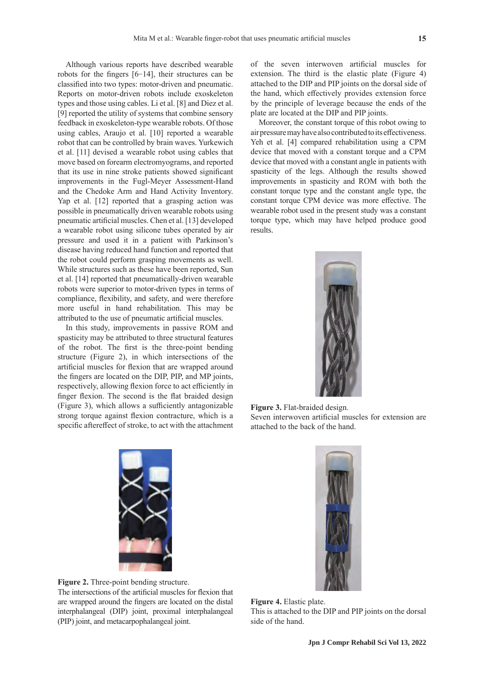Although various reports have described wearable robots for the fingers [6–14], their structures can be classified into two types: motor-driven and pneumatic. Reports on motor-driven robots include exoskeleton types and those using cables. Li et al. [8] and Diez et al. [9] reported the utility of systems that combine sensory feedback in exoskeleton-type wearable robots. Of those using cables, Araujo et al. [10] reported a wearable robot that can be controlled by brain waves. Yurkewich et al. [11] devised a wearable robot using cables that move based on forearm electromyograms, and reported that its use in nine stroke patients showed significant improvements in the Fugl-Meyer Assessment-Hand and the Chedoke Arm and Hand Activity Inventory. Yap et al. [12] reported that a grasping action was possible in pneumatically driven wearable robots using pneumatic artificial muscles. Chen et al. [13] developed a wearable robot using silicone tubes operated by air pressure and used it in a patient with Parkinson's disease having reduced hand function and reported that the robot could perform grasping movements as well. While structures such as these have been reported, Sun et al. [14] reported that pneumatically-driven wearable robots were superior to motor-driven types in terms of compliance, flexibility, and safety, and were therefore more useful in hand rehabilitation. This may be attributed to the use of pneumatic artificial muscles.

In this study, improvements in passive ROM and spasticity may be attributed to three structural features of the robot. The first is the three-point bending structure (Figure 2), in which intersections of the artificial muscles for flexion that are wrapped around the fingers are located on the DIP, PIP, and MP joints, respectively, allowing flexion force to act efficiently in finger flexion. The second is the flat braided design (Figure 3), which allows a sufficiently antagonizable strong torque against flexion contracture, which is a specific aftereffect of stroke, to act with the attachment of the seven interwoven artificial muscles for extension. The third is the elastic plate (Figure 4) attached to the DIP and PIP joints on the dorsal side of the hand, which effectively provides extension force by the principle of leverage because the ends of the plate are located at the DIP and PIP joints.

Moreover, the constant torque of this robot owing to air pressure may have also contributed to its effectiveness. Yeh et al. [4] compared rehabilitation using a CPM device that moved with a constant torque and a CPM device that moved with a constant angle in patients with spasticity of the legs. Although the results showed improvements in spasticity and ROM with both the constant torque type and the constant angle type, the constant torque CPM device was more effective. The wearable robot used in the present study was a constant torque type, which may have helped produce good results.



**Figure 3.** Flat-braided design. Seven interwoven artificial muscles for extension are attached to the back of the hand.